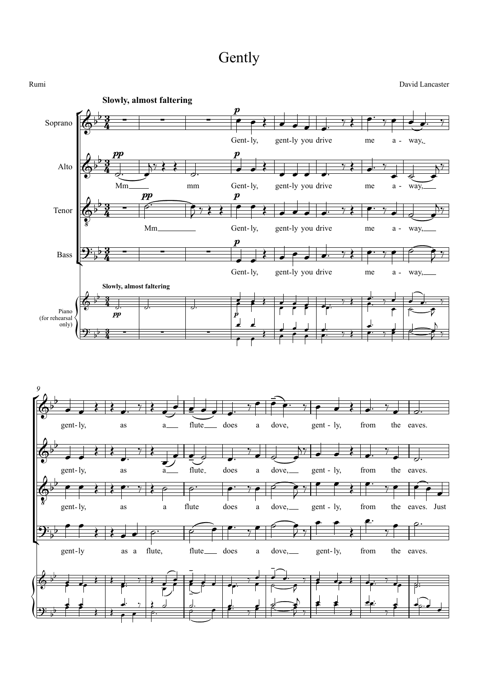## Gently

 $\sqrt{2+3}$  $\frac{1}{2}$   $\frac{1}{2}$  $\sqrt{\frac{1}{2}}$  $\left( \frac{\partial}{\partial x} + \frac{\partial}{\partial y} + \frac{\partial}{\partial z} + \frac{\partial}{\partial z} \right)$  $\frac{1}{2}$  $\sqrt{\frac{1}{2}}$ Soprano Alto Tenor Bass Piano (for rehearsal only) Gent-ly,  $\boldsymbol{p}$ gent-ly you drive me a - way, **Slowly, almost faltering** Mm  $\frac{pp}{3}$ mm Gent-ly, p gent-ly you drive me a - way, Mm pp Gent-ly,  $\boldsymbol{p}$ gent-ly you drive me a - way, Gent-ly,  $\boldsymbol{p}$ gent-ly you drive me a - way, pp p **Slowly, almost faltering** gent-ly, as a flute does a dove, gent - ly, from the eaves. *9* gent-ly, as a flute does a dove, gent - ly, from the eaves. gent-ly, as a flute does a dove, gent - ly, from the eaves. Just gent-ly as a flute, flute does a dove, gent-ly, from the eaves.  $\frac{3}{2}$  - $\frac{3}{4}$  - $\frac{PP}{3}$  $\frac{3}{4}$  $\frac{3}{2}$  –  $\frac{1}{2}$  $\frac{3}{4}$   $\frac{2}{3}$  $\frac{3}{2}$  - $\frac{3}{4}$  - $3 \quad \Box$  $\frac{3}{4}$  $\frac{3}{2}$  - $\frac{3}{4}$   $\frac{1}{4}$  $\oint_{0}^{p} \frac{3}{4}$  $\begin{array}{c|c|c|c} p & p \\ 2 & - & - & - \end{array}$ Rumi David Lancaster  $\oint_{0}^{p} \frac{3}{4}$  $\oint_{0}^{b} \frac{3}{4}$  -  $\int_{0}^{b}$  $\bullet$  $\frac{1}{2}$  $\begin{array}{c}\nPP \\
\hline\n\frac{3}{4} - \frac{1}{2}\n\end{array}$  $9\frac{1}{2}$   $\frac{3}{4}$  $\frac{1}{2}$   $\frac{1}{2}$   $\frac{1}{2}$   $\frac{1}{2}$   $\frac{1}{2}$   $\frac{1}{2}$   $\frac{1}{2}$   $\frac{1}{2}$   $\frac{1}{2}$   $\frac{1}{2}$   $\frac{1}{2}$   $\frac{1}{2}$   $\frac{1}{2}$   $\frac{1}{2}$   $\frac{1}{2}$   $\frac{1}{2}$   $\frac{1}{2}$   $\frac{1}{2}$   $\frac{1}{2}$   $\frac{1}{2}$   $\frac{1}{2}$   $\frac{1}{2}$   $\left( \circ \; b \; 3 \; \right)$  $\overline{\phantom{a}}$  $9: \frac{1}{2}$  b  $\frac{3}{4}$  - $\begin{array}{ccc} \cdot & \cdot & \cdot & \cdot \\ \hline \end{array}$  $\phi^{\flat}$  $\frac{1}{2}$  ,  $\frac{1}{2}$  ,  $\frac{1}{2}$  ,  $\frac{1}{2}$  ,  $\frac{1}{2}$  ,  $\frac{1}{2}$  ,  $\frac{1}{2}$  ,  $\frac{1}{2}$  $\Rightarrow$  $\overset{\rightarrow}{\Phi}$  $\overline{\phantom{0}}$ -  $\bigoplus_{\alpha}$  and  $\{ \}$ gent-ly,  $\overrightarrow{p}$   $\overrightarrow{p}$  $\overline{\phantom{a}}$  $2\frac{1}{2}$  $\frac{\partial}{\partial x}$  $6b^2 + c^2$  $\overline{b}$  -  $\overline{b}$  -  $\overline{b}$  -  $\overline{b}$  -  $\overline{b}$  -  $\overline{b}$  -  $\overline{b}$  -  $\overline{b}$  -  $\overline{b}$  -  $\overline{b}$  -  $\overline{b}$  -  $\overline{b}$  -  $\overline{b}$  -  $\overline{b}$  -  $\overline{b}$  -  $\overline{b}$  -  $\overline{b}$  -  $\overline{b}$  -  $\overline{b}$  -  $\overline{b}$  -  $\overline{\phantom{a}}$  $\overline{\phantom{a}}$  $9 \cdot \frac{3}{2}$  $\sum$ ∞<br>● ● ≷ ● ● ● 。 <sup>→</sup> ≷ │ <sup>→</sup> → ● ●。 →  $\circ$   $\bullet$   $\bullet$   $\bullet$  $y$   $\leftrightarrow$   $\rightarrow$  $\overline{u}$  ed  $\overline{u}$  $\begin{array}{cc} \begin{array}{cc} \begin{array}{cc} \mathbf{R} & \mathbf{R} \\ \mathbf{R} & \mathbf{R} \end{array} & \mathbf{R} & \mathbf{R} & \mathbf{R} & \mathbf{R} \\ \mathbf{R} & \mathbf{R} & \mathbf{R} & \mathbf{R} & \mathbf{R} \\ \mathbf{R} & \mathbf{R} & \mathbf{R} & \mathbf{R} & \mathbf{R} \\ \mathbf{R} & \mathbf{R} & \mathbf{R} & \mathbf{R} & \mathbf{R} \\ \mathbf{R} & \mathbf{R} & \mathbf{R} & \mathbf{R} & \mathbf{R$  $\overline{y}$  $\overrightarrow{w}$  $5.788$  $\frac{1}{2}$  $\frac{1}{7}$  $\frac{1}{2}$  $\epsilon$   $\epsilon$   $\epsilon$   $\epsilon$ e a a e y e e 9 y  $\frac{1}{2}$  $\gamma$  $\overline{v}$   $\overline{v}$   $\overline{v}$   $\overline{v}$   $\overline{v}$   $\overline{v}$   $\overline{v}$   $\overline{v}$   $\overline{v}$   $\overline{v}$   $\overline{v}$   $\overline{v}$   $\overline{v}$   $\overline{v}$   $\overline{v}$   $\overline{v}$   $\overline{v}$   $\overline{v}$   $\overline{v}$   $\overline{v}$   $\overline{v}$   $\overline{v}$   $\overline{v}$   $\overline{v}$   $\overline{$  $\frac{1}{2}$  s i  $\epsilon$   $\rightarrow$   $\epsilon$  $\frac{1}{2}$ œ  $\qquad \qquad$  $\frac{1}{\sqrt{2}}$  ex  $\frac{1}{\sqrt{2}}$  ex  $\frac{1}{\sqrt{2}}$  ex  $\frac{1}{\sqrt{2}}$ <sup>œ</sup> œ˙  $\frac{d\mathbf{r}}{d\mathbf{r}}$  $\overline{z}$  |  $\longrightarrow$ œ م <del>استم</del>ر<br>م œ  $\frac{1}{2}$  $\frac{1}{2}$ <u>. . .</u>  $\dddot{\hspace{1mm}\cdot}$  . **←** → æ  $\frac{1}{e}$   $\frac{1}{e}$   $\frac{1}{e}$   $\frac{1}{e}$   $\frac{1}{e}$   $\frac{1}{e}$   $\frac{1}{e}$   $\frac{1}{e}$  $\frac{1}{2}$  $\sim$  $\frac{1}{\gamma}$  $\bullet$   $\bullet$   $\bullet$   $\bullet$   $\bullet$  $\frac{2}{3}$   $\frac{2}{3}$   $\frac{3}{5}$   $\frac{3}{5}$   $\frac{3}{5}$   $\frac{3}{5}$   $\frac{3}{5}$   $\frac{3}{5}$   $\frac{3}{5}$   $\frac{3}{5}$   $\frac{3}{5}$   $\frac{3}{5}$   $\frac{3}{5}$   $\frac{3}{5}$   $\frac{3}{5}$   $\frac{3}{5}$   $\frac{3}{5}$   $\frac{3}{5}$   $\frac{3}{5}$   $\frac{3}{5}$   $\frac{3}{5}$   $\frac{3}{5}$  <sup>œ</sup> <sup>œ</sup> <sup>œ</sup> <sup>œ</sup> <sup>œ</sup>™ ‰ <sup>œ</sup> <sup>œ</sup> <sup>œ</sup>™ ‰ <sup>œ</sup> <sup>œ</sup> <sup>Œ</sup> <sup>œ</sup>™ ‰ <sup>œ</sup> ˙™  $\frac{1}{2}$  $\left\{ \begin{array}{c} 1 & 1 \\ 2 & 2 \end{array} \right.$ <sup>œ</sup> <sup>œ</sup> ˙ <sup>œ</sup>™ ‰ <sup>œ</sup> ˙ <sup>œ</sup>  $y'$  extends  $\left\{ \begin{array}{ccc} & \ddots & \ddots \ & \bullet & \bullet & \bullet \end{array} \right.$ œ œ Œ Œ œ™ ‰ Œ ˙ ˙™ œ™ ‰ œ ˙ œ  $7^7$  $\frac{1}{2}$  e  $\frac{1}{2}$  e  $\frac{1}{2}$  $\left\{ \begin{array}{ccc} \bullet & \bullet & \bullet \\ \bullet & \bullet & \bullet \end{array} \right\}$ œ  $\bullet$   $\bullet$   $\bullet$   $\bullet$ <sup>Œ</sup> <sup>Œ</sup> <sup>œ</sup> <sup>œ</sup> ˙™ ˙ <sup>œ</sup> <sup>œ</sup>™ ‰ <sup>œ</sup> ˙ <sup>œ</sup> <sup>J</sup> ‰ <sup>œ</sup> <sup>œ</sup>  $\begin{array}{c|c|c|c} \mathbf{e} & \mathbf{e} & \mathbf{e} & \mathbf{e} & \mathbf{e} & \mathbf{e} & \mathbf{e} & \mathbf{e} & \mathbf{e} & \mathbf{e} & \mathbf{e} & \mathbf{e} & \mathbf{e} & \mathbf{e} & \mathbf{e} & \mathbf{e} & \mathbf{e} & \mathbf{e} & \mathbf{e} & \mathbf{e} & \mathbf{e} & \mathbf{e} & \mathbf{e} & \mathbf{e} & \mathbf{e} & \mathbf{e} & \mathbf{e} & \mathbf{e} & \mathbf{e} & \mathbf{$ **e** e de de  $\frac{2}{\epsilon}$   $\frac{2}{\epsilon}$  $\frac{1}{\sqrt{1-\frac{1}{2}}}\left\{\frac{1}{\sqrt{1-\frac{1}{2}}}\right\}$ **FATC**  $\frac{1}{2}$  $e$   $e$  $e$   $e$   $e$   $e$   $e$   $\frac{1}{e}$   $e$   $\frac{1}{e}$  $\frac{1}{\sqrt{2}}$ œ˙  $\bullet$   $\bullet$   $\bullet$  $e^{\frac{7}{2}}$  $\frac{1}{2}$  equation  $\stackrel{\circ}{\bullet}$   $\stackrel{\circ}{\bullet}$   $\stackrel{\circ}{\bullet}$   $\stackrel{\circ}{\bullet}$   $\stackrel{\circ}{\bullet}$   $\stackrel{\circ}{\bullet}$   $\stackrel{\circ}{\bullet}$ ™ œ œ  $\left\{ \begin{array}{cc} \left| \begin{array}{cc} \left| \begin{array}{cc} \left| \right| & \left| \right| & \left| \right| \end{array} \right| & \left| \right| & \left| \right| \end{array} \right. & \left| \left| \begin{array}{cc} \left| \right| & \left| \right| & \left| \right| \end{array} \right. & \left| \right| & \left| \right| \end{array} \right. & \left| \left| \begin{array}{cc} \left| \right| & \left| \right| & \left| \right| & \left| \right| \end{array} \right. & \left| \left| \begin{array}{cc} \left| \right| & \left| \right$ d., } } a  $\frac{1}{\gamma}$   $\frac{1}{\gamma}$   $\frac{1}{\gamma}$   $\frac{1}{\gamma}$   $\frac{1}{\gamma}$   $\frac{1}{\gamma}$   $\frac{1}{\gamma}$   $\frac{1}{\gamma}$   $\frac{1}{\gamma}$   $\frac{1}{\gamma}$ œ™  $\frac{1}{\sqrt{2}}$   $\frac{1}{\sqrt{2}}$   $\frac{1}{\sqrt{2}}$   $\frac{1}{\sqrt{2}}$  $2, +$  $\mathbb{R}$   $\downarrow$   $\downarrow$   $\downarrow$ <sup>Œ</sup> <sup>œ</sup> ™ <sup>œ</sup>™ ‰ <sup>œ</sup> œ˙™<sup>œ</sup> œ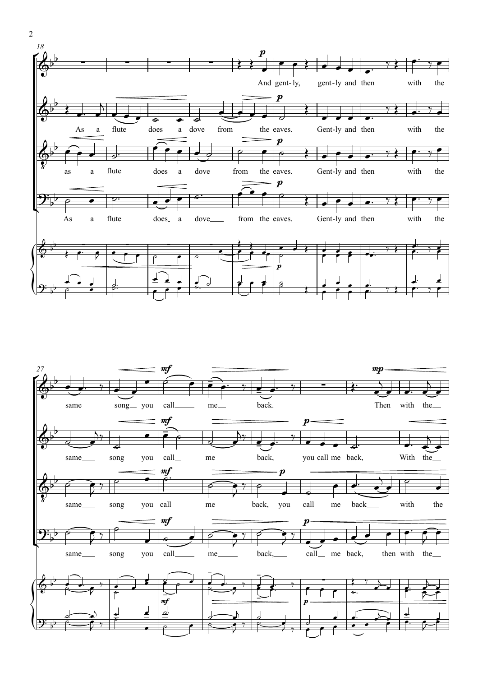



2